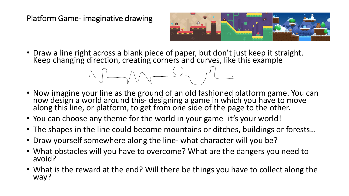Platform Game- imaginative drawing



• Draw a line right across a blank piece of paper, but don't just keep it straight. Keep changing direction, creating corners and curves, like this example

$$
\mathcal{A} \cup \mathcal{A} \cup \mathcal{A} \cup \mathcal{A} \cup \mathcal{A} \cup \mathcal{A} \cup \mathcal{A} \cup \mathcal{A} \cup \mathcal{A} \cup \mathcal{A} \cup \mathcal{A} \cup \mathcal{A} \cup \mathcal{A} \cup \mathcal{A} \cup \mathcal{A} \cup \mathcal{A} \cup \mathcal{A} \cup \mathcal{A} \cup \mathcal{A} \cup \mathcal{A} \cup \mathcal{A} \cup \mathcal{A} \cup \mathcal{A} \cup \mathcal{A} \cup \mathcal{A} \cup \mathcal{A} \cup \mathcal{A} \cup \mathcal{A} \cup \mathcal{A} \cup \mathcal{A} \cup \mathcal{A} \cup \mathcal{A} \cup \mathcal{A} \cup \mathcal{A} \cup \mathcal{A} \cup \mathcal{A} \cup \mathcal{A} \cup \mathcal{A} \cup \mathcal{A} \cup \mathcal{A} \cup \mathcal{A} \cup \mathcal{A} \cup \mathcal{A} \cup \mathcal{A} \cup \mathcal{A} \cup \mathcal{A} \cup \mathcal{A} \cup \mathcal{A} \cup \mathcal{A} \cup \mathcal{A} \cup \mathcal{A} \cup \mathcal{A} \cup \mathcal{A} \cup \mathcal{A} \cup \mathcal{A} \cup \mathcal{A} \cup \mathcal{A} \cup \mathcal{A} \cup \mathcal{A} \cup \mathcal{A} \cup \mathcal{A} \cup \mathcal{A} \cup \mathcal{A} \cup \mathcal{A} \cup \mathcal{A} \cup \mathcal{A} \cup \mathcal{A} \cup \mathcal{A} \cup \mathcal{A} \cup \mathcal{A} \cup \mathcal{A} \cup \mathcal{A} \cup \mathcal{A} \cup \mathcal{A} \cup \mathcal{A} \cup \mathcal{A} \cup \mathcal{A} \cup \mathcal{A} \cup \mathcal{A} \cup \mathcal{A} \cup \mathcal{A} \cup \mathcal{A} \cup \mathcal{A} \cup \mathcal{A} \cup \mathcal{A} \cup \mathcal{A} \cup \mathcal{A} \cup \mathcal{A} \cup \mathcal{A} \cup \mathcal{A} \cup \mathcal{A} \cup \mathcal{A} \cup \mathcal{A} \cup \mathcal{A} \cup \mathcal{A} \cup
$$

- Now imagine your line as the ground of an old fashioned platform game. You can now design a world around this- designing a game in which you have to move<br>along this line, or platform, to get from one side of the page to the other.
- You can choose any theme for the world in your game- it's your world!
- The shapes in the line could become mountains or ditches, buildings or forests…
- Draw yourself somewhere along the line- what character will you be?
- What obstacles will you have to overcome? What are the dangers you need to avoid?
- What is the reward at the end? Will there be things you have to collect along the way?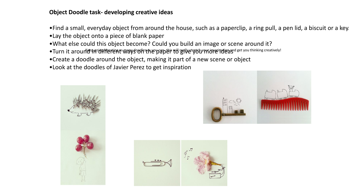## **Object Doodle task- developing creative ideas**

•Find a small, everyday object from around the house, such as a paperclip, a ring pull, a pen lid, a biscuit or a key. •Lay the object onto a piece of blank paper

- •What else could this object become? Could you build an image or scene around it?
- · Turn it around en paper to the paper ways of the paper of give ty to provide and get you thinking creatively!
- •Create a doodle around the object, making it part of a new scene or object
- •Look at the doodles of Javier Perez to get inspiration





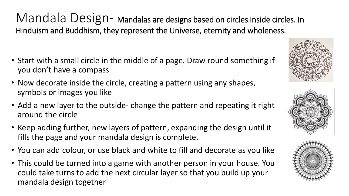Mandala Design- Mandalas are designs based on circles inside circles. In Hinduism and Buddhism, they represent the Universe, eternity and wholeness.

- Start with a small circle in the middle of a page. Draw round something if you don't have a compass
- Now decorate inside the circle, creating a pattern using any shapes, symbols or images you like
- Add a new layer to the outside- change the pattern and repeating it right around the circle
- Keep adding further, new layers of pattern, expanding the design until it fills the page and your mandala design is complete.
- You can add colour, or use black and white to fill and decorate as you like
- This could be turned into a game with another person in your house. You could take turns to add the next circular layer so that you build up your mandala design together





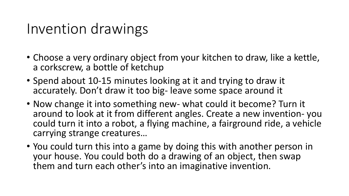## Invention drawings

- Choose a very ordinary object from your kitchen to draw, like a kettle, a corkscrew, a bottle of ketchup
- Spend about 10-15 minutes looking at it and trying to draw it accurately. Don't draw it too big- leave some space around it
- Now change it into something new- what could it become? Turn it around to look at it from different angles. Create a new invention- you could turn it into a robot, a flying machine, a fairground ride, a vehicle carrying strange creatures…
- You could turn this into a game by doing this with another person in your house. You could both do a drawing of an object, then swap them and turn each other's into an imaginative invention.